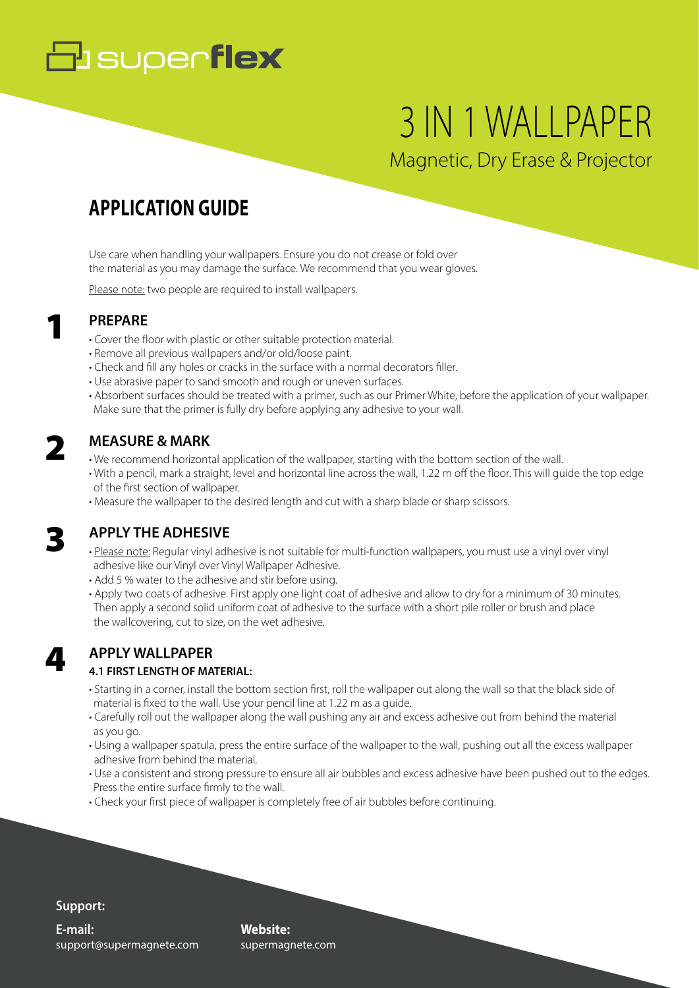# **B** superflex

# 3 IN 1 WALLPAPER Magnetic, Dry Erase & Projector

# **APPLICATION GUIDE**

Use care when handling your wallpapers. Ensure you do not crease or fold over the material as you may damage the surface. We recommend that you wear gloves.

Please note: two people are required to install wallpapers.

## **PREPARE**

- Cover the floor with plastic or other suitable protection material.
- Remove all previous wallpapers and/or old/loose paint.
- Check and fill any holes or cracks in the surface with a normal decorators filler.
- Use abrasive paper to sand smooth and rough or uneven surfaces.
- Absorbent surfaces should be treated with a primer, such as our Primer White, before the application of your wallpaper. Make sure that the primer is fully dry before applying any adhesive to your wall.

## **MEASURE & MARK**

- We recommend horizontal application of the wallpaper, starting with the bottom section of the wall.
- With a pencil, mark a straight, level and horizontal line across the wall, 1.22 m off the floor. This will guide the top edge of the first section of wallpaper.
- Measure the wallpaper to the desired length and cut with a sharp blade or sharp scissors.

## 3

4

2

1

### **APPLY THE ADHESIVE**

- Please note: Regular vinyl adhesive is not suitable for multi-function wallpapers, you must use a vinyl over vinyl adhesive like our Vinyl over Vinyl Wallpaper Adhesive.
- Add 5 % water to the adhesive and stir before using.
- Apply two coats of adhesive. First apply one light coat of adhesive and allow to dry for a minimum of 30 minutes. Then apply a second solid uniform coat of adhesive to the surface with a short pile roller or brush and place the wallcovering, cut to size, on the wet adhesive.

# **APPLY WALLPAPER**

### **4.1 FIRST LENGTH OF MATERIAL:**

- Starting in a corner, install the bottom section first, roll the wallpaper out along the wall so that the black side of material is fixed to the wall. Use your pencil line at 1.22 m as a guide.
- Carefully roll out the wallpaper along the wall pushing any air and excess adhesive out from behind the material as you go.
- Using a wallpaper spatula, press the entire surface of the wallpaper to the wall, pushing out all the excess wallpaper adhesive from behind the material.
- Use a consistent and strong pressure to ensure all air bubbles and excess adhesive have been pushed out to the edges. Press the entire surface firmly to the wall.
- Check your first piece of wallpaper is completely free of air bubbles before continuing.

### **Support:**

support@supermagnete.com **E-mail:**

**Website:** supermagnete.com